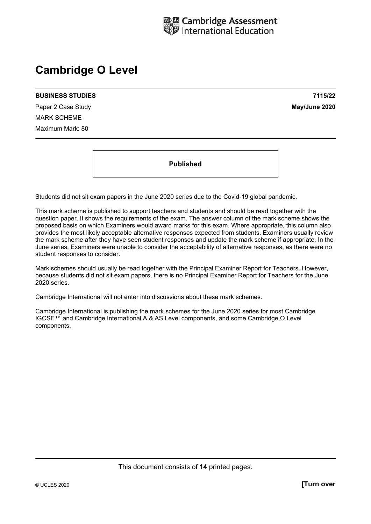

# **Cambridge O Level**

#### **BUSINESS STUDIES 7115/22**

Paper 2 Case Study **May/June 2020** MARK SCHEME Maximum Mark: 80

**Published** 

Students did not sit exam papers in the June 2020 series due to the Covid-19 global pandemic.

This mark scheme is published to support teachers and students and should be read together with the question paper. It shows the requirements of the exam. The answer column of the mark scheme shows the proposed basis on which Examiners would award marks for this exam. Where appropriate, this column also provides the most likely acceptable alternative responses expected from students. Examiners usually review the mark scheme after they have seen student responses and update the mark scheme if appropriate. In the June series, Examiners were unable to consider the acceptability of alternative responses, as there were no student responses to consider.

Mark schemes should usually be read together with the Principal Examiner Report for Teachers. However, because students did not sit exam papers, there is no Principal Examiner Report for Teachers for the June 2020 series.

Cambridge International will not enter into discussions about these mark schemes.

Cambridge International is publishing the mark schemes for the June 2020 series for most Cambridge IGCSE™ and Cambridge International A & AS Level components, and some Cambridge O Level components.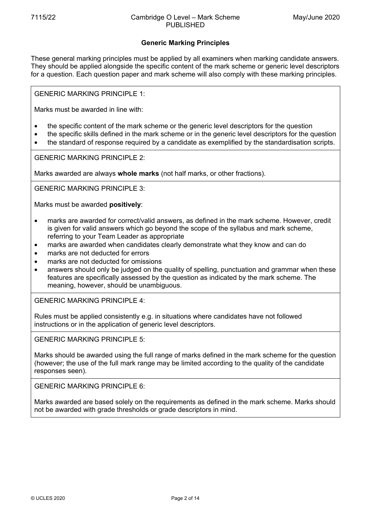## **Generic Marking Principles**

These general marking principles must be applied by all examiners when marking candidate answers. They should be applied alongside the specific content of the mark scheme or generic level descriptors for a question. Each question paper and mark scheme will also comply with these marking principles.

GENERIC MARKING PRINCIPLE 1:

Marks must be awarded in line with:

- the specific content of the mark scheme or the generic level descriptors for the question
- the specific skills defined in the mark scheme or in the generic level descriptors for the question
- the standard of response required by a candidate as exemplified by the standardisation scripts.

GENERIC MARKING PRINCIPLE 2:

Marks awarded are always **whole marks** (not half marks, or other fractions).

GENERIC MARKING PRINCIPLE 3:

Marks must be awarded **positively**:

- marks are awarded for correct/valid answers, as defined in the mark scheme. However, credit is given for valid answers which go beyond the scope of the syllabus and mark scheme, referring to your Team Leader as appropriate
- marks are awarded when candidates clearly demonstrate what they know and can do
- marks are not deducted for errors
- marks are not deducted for omissions
- answers should only be judged on the quality of spelling, punctuation and grammar when these features are specifically assessed by the question as indicated by the mark scheme. The meaning, however, should be unambiguous.

GENERIC MARKING PRINCIPLE 4:

Rules must be applied consistently e.g. in situations where candidates have not followed instructions or in the application of generic level descriptors.

GENERIC MARKING PRINCIPLE 5:

Marks should be awarded using the full range of marks defined in the mark scheme for the question (however; the use of the full mark range may be limited according to the quality of the candidate responses seen).

GENERIC MARKING PRINCIPLE 6:

Marks awarded are based solely on the requirements as defined in the mark scheme. Marks should not be awarded with grade thresholds or grade descriptors in mind.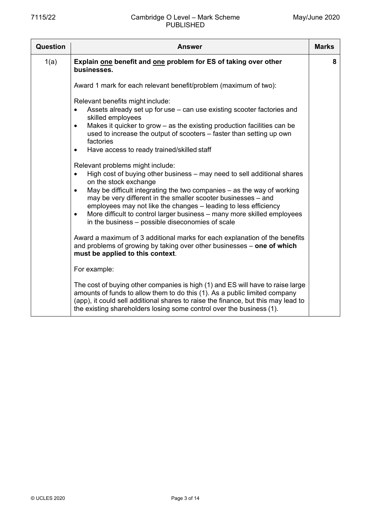| <b>Question</b> | <b>Answer</b>                                                                                                                                                                                                                                                                                                                                                                                                                                                                                                                               | <b>Marks</b> |
|-----------------|---------------------------------------------------------------------------------------------------------------------------------------------------------------------------------------------------------------------------------------------------------------------------------------------------------------------------------------------------------------------------------------------------------------------------------------------------------------------------------------------------------------------------------------------|--------------|
| 1(a)            | Explain one benefit and one problem for ES of taking over other<br>businesses.                                                                                                                                                                                                                                                                                                                                                                                                                                                              | 8            |
|                 | Award 1 mark for each relevant benefit/problem (maximum of two):                                                                                                                                                                                                                                                                                                                                                                                                                                                                            |              |
|                 | Relevant benefits might include:<br>Assets already set up for use - can use existing scooter factories and<br>$\bullet$<br>skilled employees<br>Makes it quicker to grow $-$ as the existing production facilities can be<br>$\bullet$<br>used to increase the output of scooters – faster than setting up own<br>factories<br>Have access to ready trained/skilled staff<br>$\bullet$<br>Relevant problems might include:<br>High cost of buying other business – may need to sell additional shares<br>$\bullet$<br>on the stock exchange |              |
|                 | May be difficult integrating the two companies $-$ as the way of working<br>$\bullet$<br>may be very different in the smaller scooter businesses – and<br>employees may not like the changes - leading to less efficiency<br>More difficult to control larger business – many more skilled employees<br>$\bullet$<br>in the business – possible diseconomies of scale                                                                                                                                                                       |              |
|                 | Award a maximum of 3 additional marks for each explanation of the benefits<br>and problems of growing by taking over other businesses - one of which<br>must be applied to this context.                                                                                                                                                                                                                                                                                                                                                    |              |
|                 | For example:                                                                                                                                                                                                                                                                                                                                                                                                                                                                                                                                |              |
|                 | The cost of buying other companies is high (1) and ES will have to raise large<br>amounts of funds to allow them to do this (1). As a public limited company<br>(app), it could sell additional shares to raise the finance, but this may lead to<br>the existing shareholders losing some control over the business (1).                                                                                                                                                                                                                   |              |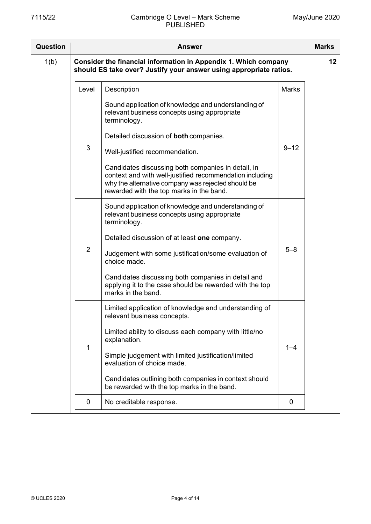| <b>Question</b> |                                                                                                                                       | <b>Answer</b>                                                                                                                                                                                                    |              | <b>Marks</b> |
|-----------------|---------------------------------------------------------------------------------------------------------------------------------------|------------------------------------------------------------------------------------------------------------------------------------------------------------------------------------------------------------------|--------------|--------------|
| 1(b)            | Consider the financial information in Appendix 1. Which company<br>should ES take over? Justify your answer using appropriate ratios. |                                                                                                                                                                                                                  |              |              |
|                 | Level                                                                                                                                 | Description                                                                                                                                                                                                      | <b>Marks</b> |              |
|                 |                                                                                                                                       | Sound application of knowledge and understanding of<br>relevant business concepts using appropriate<br>terminology.                                                                                              |              |              |
|                 |                                                                                                                                       | Detailed discussion of both companies.                                                                                                                                                                           |              |              |
|                 | $\mathfrak{S}$                                                                                                                        | Well-justified recommendation.                                                                                                                                                                                   | $9 - 12$     |              |
|                 |                                                                                                                                       | Candidates discussing both companies in detail, in<br>context and with well-justified recommendation including<br>why the alternative company was rejected should be<br>rewarded with the top marks in the band. |              |              |
|                 |                                                                                                                                       | Sound application of knowledge and understanding of<br>relevant business concepts using appropriate<br>terminology.                                                                                              |              |              |
|                 |                                                                                                                                       | Detailed discussion of at least one company.                                                                                                                                                                     |              |              |
|                 | $\overline{2}$                                                                                                                        | Judgement with some justification/some evaluation of<br>choice made.                                                                                                                                             | $5 - 8$      |              |
|                 |                                                                                                                                       | Candidates discussing both companies in detail and<br>applying it to the case should be rewarded with the top<br>marks in the band.                                                                              |              |              |
|                 |                                                                                                                                       | Limited application of knowledge and understanding of<br>relevant business concepts.                                                                                                                             |              |              |
|                 | 1                                                                                                                                     | Limited ability to discuss each company with little/no<br>explanation.                                                                                                                                           | $1 - 4$      |              |
|                 |                                                                                                                                       | Simple judgement with limited justification/limited<br>evaluation of choice made.                                                                                                                                |              |              |
|                 |                                                                                                                                       | Candidates outlining both companies in context should<br>be rewarded with the top marks in the band.                                                                                                             |              |              |
|                 | 0                                                                                                                                     | No creditable response.                                                                                                                                                                                          | 0            |              |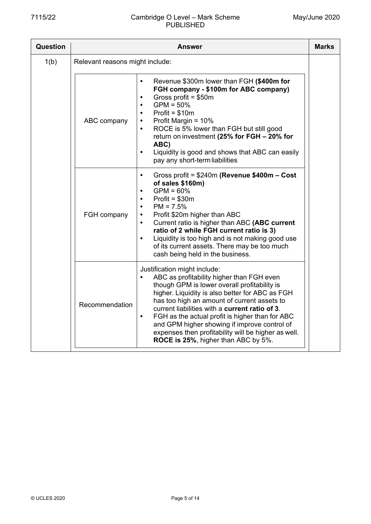### 7115/22 Cambridge O Level – Mark Scheme PUBLISHED

ł

 $\top$ 

| Question |                                 | Answer                                                                                                                                                                                                                                                                                                                                                                                                                                                                                                   | <b>Marks</b> |  |
|----------|---------------------------------|----------------------------------------------------------------------------------------------------------------------------------------------------------------------------------------------------------------------------------------------------------------------------------------------------------------------------------------------------------------------------------------------------------------------------------------------------------------------------------------------------------|--------------|--|
| 1(b)     | Relevant reasons might include: |                                                                                                                                                                                                                                                                                                                                                                                                                                                                                                          |              |  |
|          | ABC company                     | Revenue \$300m lower than FGH (\$400m for<br>$\bullet$<br>FGH company - \$100m for ABC company)<br>Gross profit = $$50m$<br>$\bullet$<br>$GPM = 50\%$<br>$Profit = $10m$<br>$\bullet$<br>Profit Margin = 10%<br>$\bullet$<br>ROCE is 5% lower than FGH but still good<br>$\bullet$<br>return on investment (25% for FGH - 20% for<br>ABC)<br>Liquidity is good and shows that ABC can easily<br>$\bullet$<br>pay any short-term liabilities                                                              |              |  |
|          | FGH company                     | Gross profit = \$240m (Revenue \$400m - Cost<br>$\bullet$<br>of sales \$160m)<br>$GPM = 60%$<br>$\bullet$<br>$Profit = $30m$<br>$\bullet$<br>$PM = 7.5%$<br>$\bullet$<br>Profit \$20m higher than ABC<br>$\bullet$<br>Current ratio is higher than ABC (ABC current<br>$\bullet$<br>ratio of 2 while FGH current ratio is 3)<br>Liquidity is too high and is not making good use<br>$\bullet$<br>of its current assets. There may be too much<br>cash being held in the business.                        |              |  |
|          | Recommendation                  | Justification might include:<br>ABC as profitability higher than FGH even<br>$\bullet$<br>though GPM is lower overall profitability is<br>higher. Liquidity is also better for ABC as FGH<br>has too high an amount of current assets to<br>current liabilities with a current ratio of 3.<br>FGH as the actual profit is higher than for ABC<br>$\bullet$<br>and GPM higher showing if improve control of<br>expenses then profitability will be higher as well.<br>ROCE is 25%, higher than ABC by 5%. |              |  |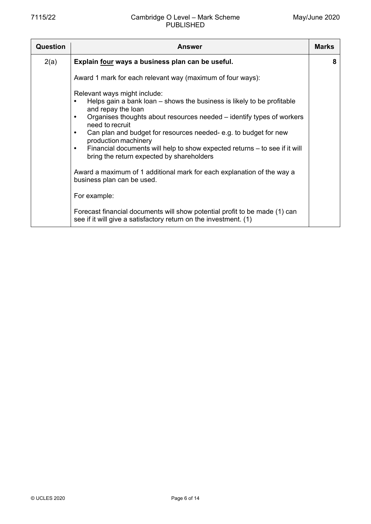| Question | <b>Answer</b>                                                                                                                                                                                                                                                                                                                                                                                                                                                                                                                                                       | <b>Marks</b> |
|----------|---------------------------------------------------------------------------------------------------------------------------------------------------------------------------------------------------------------------------------------------------------------------------------------------------------------------------------------------------------------------------------------------------------------------------------------------------------------------------------------------------------------------------------------------------------------------|--------------|
| 2(a)     | Explain four ways a business plan can be useful.                                                                                                                                                                                                                                                                                                                                                                                                                                                                                                                    | 8            |
|          | Award 1 mark for each relevant way (maximum of four ways):                                                                                                                                                                                                                                                                                                                                                                                                                                                                                                          |              |
|          | Relevant ways might include:<br>Helps gain a bank loan – shows the business is likely to be profitable<br>$\bullet$<br>and repay the loan<br>Organises thoughts about resources needed – identify types of workers<br>need to recruit<br>Can plan and budget for resources needed-e.g. to budget for new<br>production machinery<br>Financial documents will help to show expected returns - to see if it will<br>bring the return expected by shareholders<br>Award a maximum of 1 additional mark for each explanation of the way a<br>business plan can be used. |              |
|          | For example:                                                                                                                                                                                                                                                                                                                                                                                                                                                                                                                                                        |              |
|          | Forecast financial documents will show potential profit to be made (1) can<br>see if it will give a satisfactory return on the investment. (1)                                                                                                                                                                                                                                                                                                                                                                                                                      |              |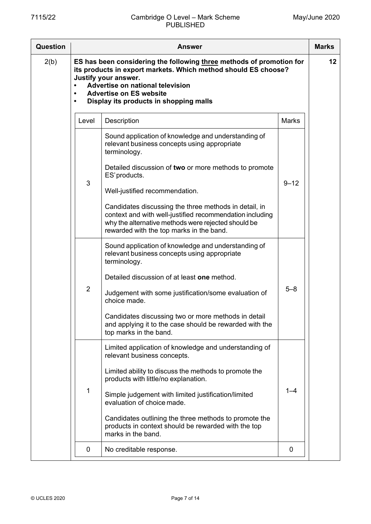### 7115/22 Cambridge O Level – Mark Scheme PUBLISHED

| <b>Question</b> | <b>Answer</b>          |                                                                                                                                                                                                                                                                                                                                                                                                                                                         |              | <b>Marks</b> |
|-----------------|------------------------|---------------------------------------------------------------------------------------------------------------------------------------------------------------------------------------------------------------------------------------------------------------------------------------------------------------------------------------------------------------------------------------------------------------------------------------------------------|--------------|--------------|
| 2(b)            | $\bullet$<br>$\bullet$ | ES has been considering the following three methods of promotion for<br>its products in export markets. Which method should ES choose?<br>Justify your answer.<br>Advertise on national television<br><b>Advertise on ES website</b><br>Display its products in shopping malls                                                                                                                                                                          |              | 12           |
|                 | Level                  | Description                                                                                                                                                                                                                                                                                                                                                                                                                                             | <b>Marks</b> |              |
|                 | 3                      | Sound application of knowledge and understanding of<br>relevant business concepts using appropriate<br>terminology.<br>Detailed discussion of two or more methods to promote<br>ES' products.<br>Well-justified recommendation.<br>Candidates discussing the three methods in detail, in<br>context and with well-justified recommendation including<br>why the alternative methods were rejected should be<br>rewarded with the top marks in the band. | $9 - 12$     |              |
|                 | $\overline{2}$         | Sound application of knowledge and understanding of<br>relevant business concepts using appropriate<br>terminology.<br>Detailed discussion of at least one method.<br>Judgement with some justification/some evaluation of<br>choice made.<br>Candidates discussing two or more methods in detail<br>and applying it to the case should be rewarded with the<br>top marks in the band.                                                                  | $5 - 8$      |              |
|                 | $\mathbf 1$            | Limited application of knowledge and understanding of<br>relevant business concepts.<br>Limited ability to discuss the methods to promote the<br>products with little/no explanation.<br>Simple judgement with limited justification/limited<br>evaluation of choice made.<br>Candidates outlining the three methods to promote the<br>products in context should be rewarded with the top<br>marks in the band.                                        | $1 - 4$      |              |
|                 | 0                      | No creditable response.                                                                                                                                                                                                                                                                                                                                                                                                                                 | 0            |              |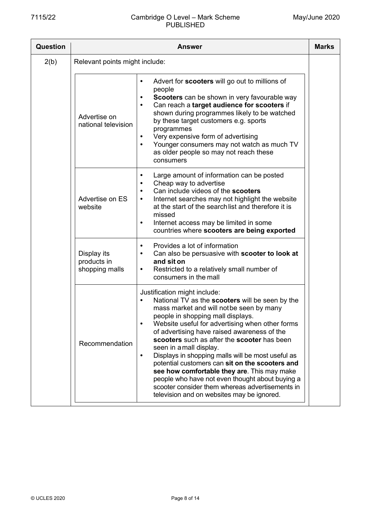### 7115/22 Cambridge O Level – Mark Scheme PUBLISHED

ł

 $\top$ 

| Question | <b>Answer</b>                                |                                                                                                                                                                                                                                                                                                                                                                                                                                                                                                                                                                                                                                                                                  |  |
|----------|----------------------------------------------|----------------------------------------------------------------------------------------------------------------------------------------------------------------------------------------------------------------------------------------------------------------------------------------------------------------------------------------------------------------------------------------------------------------------------------------------------------------------------------------------------------------------------------------------------------------------------------------------------------------------------------------------------------------------------------|--|
| 2(b)     | Relevant points might include:               |                                                                                                                                                                                                                                                                                                                                                                                                                                                                                                                                                                                                                                                                                  |  |
|          | Advertise on<br>national television          | Advert for scooters will go out to millions of<br>$\bullet$<br>people<br>Scooters can be shown in very favourable way<br>$\bullet$<br>Can reach a target audience for scooters if<br>$\bullet$<br>shown during programmes likely to be watched<br>by these target customers e.g. sports<br>programmes<br>Very expensive form of advertising<br>$\bullet$<br>Younger consumers may not watch as much TV<br>$\bullet$<br>as older people so may not reach these<br>consumers                                                                                                                                                                                                       |  |
|          | Advertise on ES<br>website                   | Large amount of information can be posted<br>$\bullet$<br>Cheap way to advertise<br>$\bullet$<br>Can include videos of the scooters<br>٠<br>Internet searches may not highlight the website<br>$\bullet$<br>at the start of the searchlist and therefore it is<br>missed<br>Internet access may be limited in some<br>$\bullet$<br>countries where scooters are being exported                                                                                                                                                                                                                                                                                                   |  |
|          | Display its<br>products in<br>shopping malls | Provides a lot of information<br>$\bullet$<br>Can also be persuasive with scooter to look at<br>$\bullet$<br>and sit on<br>Restricted to a relatively small number of<br>$\bullet$<br>consumers in the mall                                                                                                                                                                                                                                                                                                                                                                                                                                                                      |  |
|          | Recommendation                               | Justification might include:<br>National TV as the scooters will be seen by the<br>mass market and will notbe seen by many<br>people in shopping mall displays.<br>Website useful for advertising when other forms<br>$\bullet$<br>of advertising have raised awareness of the<br>scooters such as after the scooter has been<br>seen in a mall display.<br>Displays in shopping malls will be most useful as<br>$\bullet$<br>potential customers can sit on the scooters and<br>see how comfortable they are. This may make<br>people who have not even thought about buying a<br>scooter consider them whereas advertisements in<br>television and on websites may be ignored. |  |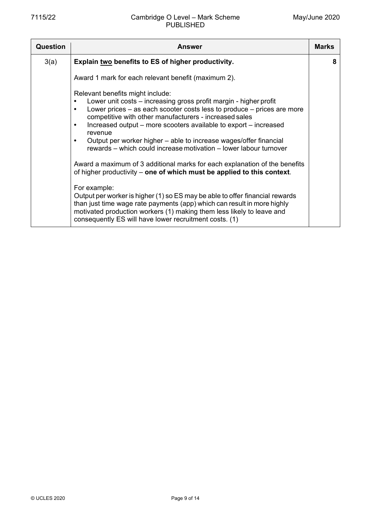| Question | <b>Answer</b>                                                                                                                                                                                                                                                                                                                                                                                                                                                                                                                                                                                                                                                                                                                                                                                                                                                                                                                                | <b>Marks</b> |
|----------|----------------------------------------------------------------------------------------------------------------------------------------------------------------------------------------------------------------------------------------------------------------------------------------------------------------------------------------------------------------------------------------------------------------------------------------------------------------------------------------------------------------------------------------------------------------------------------------------------------------------------------------------------------------------------------------------------------------------------------------------------------------------------------------------------------------------------------------------------------------------------------------------------------------------------------------------|--------------|
| 3(a)     | Explain two benefits to ES of higher productivity.                                                                                                                                                                                                                                                                                                                                                                                                                                                                                                                                                                                                                                                                                                                                                                                                                                                                                           | 8            |
|          | Award 1 mark for each relevant benefit (maximum 2).                                                                                                                                                                                                                                                                                                                                                                                                                                                                                                                                                                                                                                                                                                                                                                                                                                                                                          |              |
|          | Relevant benefits might include:<br>Lower unit costs - increasing gross profit margin - higher profit<br>Lower prices $-$ as each scooter costs less to produce $-$ prices are more<br>competitive with other manufacturers - increased sales<br>Increased output – more scooters available to export – increased<br>revenue<br>Output per worker higher – able to increase wages/offer financial<br>rewards – which could increase motivation – lower labour turnover<br>Award a maximum of 3 additional marks for each explanation of the benefits<br>of higher productivity – one of which must be applied to this context.<br>For example:<br>Output per worker is higher (1) so ES may be able to offer financial rewards<br>than just time wage rate payments (app) which can result in more highly<br>motivated production workers (1) making them less likely to leave and<br>consequently ES will have lower recruitment costs. (1) |              |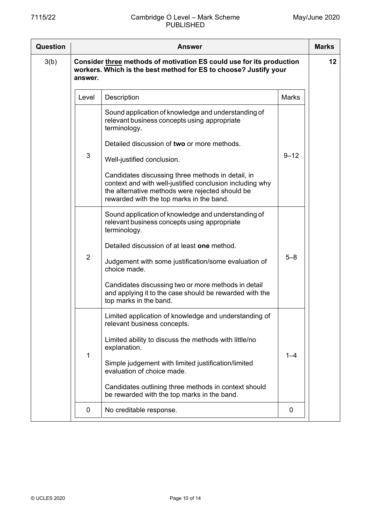| Question |                | <b>Answer</b>                                                                                                                                                                                                |              | <b>Marks</b> |
|----------|----------------|--------------------------------------------------------------------------------------------------------------------------------------------------------------------------------------------------------------|--------------|--------------|
| 3(b)     | answer.        | Consider three methods of motivation ES could use for its production<br>workers. Which is the best method for ES to choose? Justify your                                                                     |              | 12           |
|          | Level          | Description                                                                                                                                                                                                  | <b>Marks</b> |              |
|          |                | Sound application of knowledge and understanding of<br>relevant business concepts using appropriate<br>terminology.                                                                                          |              |              |
|          |                | Detailed discussion of two or more methods.                                                                                                                                                                  |              |              |
|          | $\mathfrak{S}$ | Well-justified conclusion.                                                                                                                                                                                   | $9 - 12$     |              |
|          |                | Candidates discussing three methods in detail, in<br>context and with well-justified conclusion including why<br>the alternative methods were rejected should be<br>rewarded with the top marks in the band. |              |              |
|          |                | Sound application of knowledge and understanding of<br>relevant business concepts using appropriate<br>terminology.                                                                                          |              |              |
|          |                | Detailed discussion of at least one method.                                                                                                                                                                  |              |              |
|          | 2              | Judgement with some justification/some evaluation of<br>choice made.                                                                                                                                         | $5 - 8$      |              |
|          |                | Candidates discussing two or more methods in detail<br>and applying it to the case should be rewarded with the<br>top marks in the band.                                                                     |              |              |
|          |                | Limited application of knowledge and understanding of<br>relevant business concepts.                                                                                                                         |              |              |
|          | 1              | Limited ability to discuss the methods with little/no<br>explanation.                                                                                                                                        | $1 - 4$      |              |
|          |                | Simple judgement with limited justification/limited<br>evaluation of choice made.                                                                                                                            |              |              |
|          |                | Candidates outlining three methods in context should<br>be rewarded with the top marks in the band.                                                                                                          |              |              |
|          | 0              | No creditable response.                                                                                                                                                                                      | 0            |              |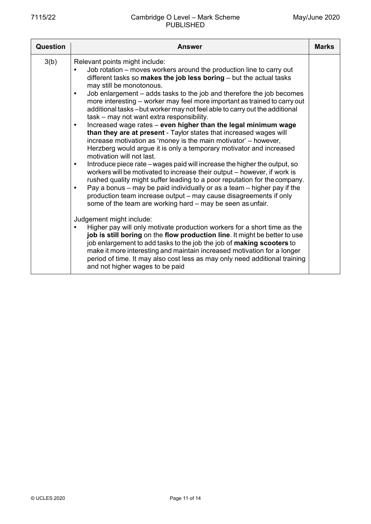| Question | Answer                                                                                                                                                                                                                                                                                                                                                                                                                                                                                                                                                                                                                                                                                                                                                                                                                                                                                                                                                                                                                                                                                                                                                                                                                                                                                                                                                                                                                                                                                                                                                                    | <b>Marks</b> |
|----------|---------------------------------------------------------------------------------------------------------------------------------------------------------------------------------------------------------------------------------------------------------------------------------------------------------------------------------------------------------------------------------------------------------------------------------------------------------------------------------------------------------------------------------------------------------------------------------------------------------------------------------------------------------------------------------------------------------------------------------------------------------------------------------------------------------------------------------------------------------------------------------------------------------------------------------------------------------------------------------------------------------------------------------------------------------------------------------------------------------------------------------------------------------------------------------------------------------------------------------------------------------------------------------------------------------------------------------------------------------------------------------------------------------------------------------------------------------------------------------------------------------------------------------------------------------------------------|--------------|
| 3(b)     | Relevant points might include:<br>Job rotation – moves workers around the production line to carry out<br>different tasks so makes the job less boring $-$ but the actual tasks<br>may still be monotonous.<br>Job enlargement – adds tasks to the job and therefore the job becomes<br>$\bullet$<br>more interesting - worker may feel more important as trained to carry out<br>additional tasks-but worker may not feel able to carry out the additional<br>task - may not want extra responsibility.<br>Increased wage rates - even higher than the legal minimum wage<br>$\bullet$<br>than they are at present - Taylor states that increased wages will<br>increase motivation as 'money is the main motivator' - however,<br>Herzberg would argue it is only a temporary motivator and increased<br>motivation will not last.<br>Introduce piece rate – wages paid will increase the higher the output, so<br>$\bullet$<br>workers will be motivated to increase their output – however, if work is<br>rushed quality might suffer leading to a poor reputation for the company.<br>Pay a bonus – may be paid individually or as a team – higher pay if the<br>٠<br>production team increase output – may cause disagreements if only<br>some of the team are working hard - may be seen as unfair.<br>Judgement might include:<br>Higher pay will only motivate production workers for a short time as the<br>job is still boring on the flow production line. It might be better to use<br>job enlargement to add tasks to the job the job of making scooters to |              |
|          | make it more interesting and maintain increased motivation for a longer<br>period of time. It may also cost less as may only need additional training<br>and not higher wages to be paid                                                                                                                                                                                                                                                                                                                                                                                                                                                                                                                                                                                                                                                                                                                                                                                                                                                                                                                                                                                                                                                                                                                                                                                                                                                                                                                                                                                  |              |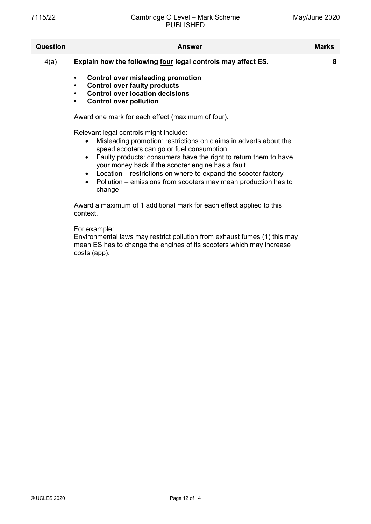| Question | <b>Answer</b>                                                                                                                                                                                                                                                                                                                                                                                                                   | <b>Marks</b> |
|----------|---------------------------------------------------------------------------------------------------------------------------------------------------------------------------------------------------------------------------------------------------------------------------------------------------------------------------------------------------------------------------------------------------------------------------------|--------------|
| 4(a)     | Explain how the following four legal controls may affect ES.                                                                                                                                                                                                                                                                                                                                                                    | 8            |
|          | <b>Control over misleading promotion</b><br>$\bullet$<br><b>Control over faulty products</b><br>$\bullet$<br><b>Control over location decisions</b><br>$\bullet$<br><b>Control over pollution</b><br>$\bullet$                                                                                                                                                                                                                  |              |
|          | Award one mark for each effect (maximum of four).                                                                                                                                                                                                                                                                                                                                                                               |              |
|          | Relevant legal controls might include:<br>Misleading promotion: restrictions on claims in adverts about the<br>speed scooters can go or fuel consumption<br>Faulty products: consumers have the right to return them to have<br>your money back if the scooter engine has a fault<br>Location – restrictions on where to expand the scooter factory<br>Pollution – emissions from scooters may mean production has to<br>change |              |
|          | Award a maximum of 1 additional mark for each effect applied to this<br>context.                                                                                                                                                                                                                                                                                                                                                |              |
|          | For example:<br>Environmental laws may restrict pollution from exhaust fumes (1) this may<br>mean ES has to change the engines of its scooters which may increase<br>costs (app).                                                                                                                                                                                                                                               |              |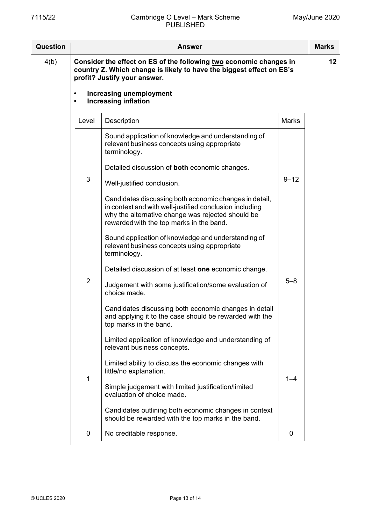| Question | <b>Answer</b>          |                                                                                                                                                                                                                    |              |    |
|----------|------------------------|--------------------------------------------------------------------------------------------------------------------------------------------------------------------------------------------------------------------|--------------|----|
| 4(b)     |                        | Consider the effect on ES of the following two economic changes in<br>country Z. Which change is likely to have the biggest effect on ES's<br>profit? Justify your answer.                                         |              | 12 |
|          | $\bullet$<br>$\bullet$ | <b>Increasing unemployment</b><br><b>Increasing inflation</b>                                                                                                                                                      |              |    |
|          | Level                  | Description                                                                                                                                                                                                        | <b>Marks</b> |    |
|          |                        | Sound application of knowledge and understanding of<br>relevant business concepts using appropriate<br>terminology.                                                                                                |              |    |
|          |                        | Detailed discussion of both economic changes.                                                                                                                                                                      |              |    |
|          | 3                      | Well-justified conclusion.                                                                                                                                                                                         | $9 - 12$     |    |
|          |                        | Candidates discussing both economic changes in detail,<br>in context and with well-justified conclusion including<br>why the alternative change was rejected should be<br>rewarded with the top marks in the band. |              |    |
|          |                        | Sound application of knowledge and understanding of<br>relevant business concepts using appropriate<br>terminology.                                                                                                |              |    |
|          |                        | Detailed discussion of at least one economic change.                                                                                                                                                               |              |    |
|          | $\overline{2}$         | Judgement with some justification/some evaluation of<br>choice made.                                                                                                                                               | $5 - 8$      |    |
|          |                        | Candidates discussing both economic changes in detail<br>and applying it to the case should be rewarded with the<br>top marks in the band.                                                                         |              |    |
|          |                        | Limited application of knowledge and understanding of<br>relevant business concepts.                                                                                                                               |              |    |
|          |                        | Limited ability to discuss the economic changes with<br>little/no explanation.                                                                                                                                     |              |    |
|          | $\mathbf{1}$           | Simple judgement with limited justification/limited<br>evaluation of choice made.                                                                                                                                  | $1 - 4$      |    |
|          |                        | Candidates outlining both economic changes in context<br>should be rewarded with the top marks in the band.                                                                                                        |              |    |
|          | 0                      | No creditable response.                                                                                                                                                                                            | 0            |    |